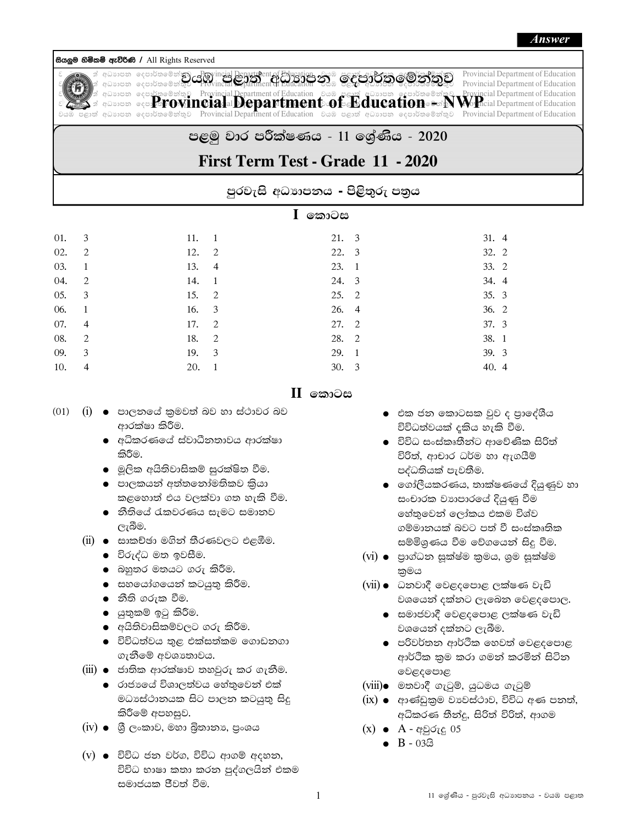## සියලුම හිමිකම් ඇව්රිණි / All Rights Reserved



 $\frac{1}{\log 2}$   $\frac{1}{\log 2}$   $\frac{1}{\log 2}$   $\frac{1}{\log 2}$   $\frac{1}{\log 2}$   $\frac{1}{\log 2}$   $\frac{1}{\log 2}$   $\frac{1}{\log 2}$   $\frac{1}{\log 2}$   $\frac{1}{\log 2}$   $\frac{1}{\log 2}$   $\frac{1}{\log 2}$   $\frac{1}{\log 2}$   $\frac{1}{\log 2}$   $\frac{1}{\log 2}$   $\frac{1}{\log 2}$   $\frac{1}{\log 2}$  **joge 6000 440060 / All Rights Reserved**<br> **Example and Source** equipose of **a world for a world for a world for a world of a world as a world of Education**<br>
a discussion equipose of Provincial Department of Education *Code* jhU m<d; a wOHdmk fomd¾;fïk a; =j Provincial Department of Education jhU m<d; a wOHdmk fomd¾;fïk a; =j Provincial Department of Education **Form of All Rights Reserved**<br> **Example for a word of All Rights Reserved**<br> **Example for a word of Education**<br> **Example for a word of Education in the Contract of Education and The Conduction of Education**<br> **Example for a Mage 69m9 42060 / All Rights Reserved**<br> *i* a worst a word of Minds  $\frac{1}{2}$  and  $\frac{1}{2}$  and  $\frac{1}{2}$  and  $\frac{1}{2}$  and  $\frac{1}{2}$  and  $\frac{1}{2}$  and  $\frac{1}{2}$  and  $\frac{1}{2}$  and  $\frac{1}{2}$  and  $\frac{1}{2}$  and  $\frac{1}{2}$  a edischer Residence of the definition of the state of the state of the state of the state of the state of the state of the state of the state of the state of the state of the state of the state of the state of the state of **Provincial Department of Education - NWP** 

## පළමු වාර පරීක්ෂණය - 11 ලශ්ණිය - 2020

## First Term Test - Grade 11 - 2020

පුරවැසි අධාාපනය - පිළිතුරු පතුය

|     |   | කොටස<br>L |                |       |                |       |
|-----|---|-----------|----------------|-------|----------------|-------|
| 01. | 3 | 11.       | - 1            | 21. 3 |                | 31. 4 |
| 02. | 2 | 12.       | -2             | 22. 3 |                | 32. 2 |
| 03. | 1 | 13.       | $\overline{4}$ | 23.   | $\overline{1}$ | 33. 2 |
| 04. | 2 | 14.       | $\mathbf{1}$   | 24. 3 |                | 34. 4 |
| 05. | 3 | 15.       | 2              | 25. 2 |                | 35. 3 |
| 06. |   | 16.       | 3              | 26. 4 |                | 36. 2 |
| 07. | 4 | 17.       | 2              | 27. 2 |                | 37. 3 |
| 08. | 2 | 18.       | 2              | 28.   | $\overline{2}$ | 38. 1 |
| 09. | 3 | 19.       | 3              | 29. 1 |                | 39. 3 |
| 10. | 4 | 20.       | 1              | 30.   | -3             | 40. 4 |

## $II$  කොටස

- $(01)$   $(i)$   $\bullet$  පාලනයේ කුමවත් බව හා ස්ථාවර බව ආරක්ෂා කිරීම.
	- $\bullet$  අධිකරණයේ ස්වාධීනතාවය ආරක්ෂා කිරීම.
	- $\bullet$  මූලික අයිතිවාසිකම් සුරක්ෂිත වීම.
	- $\bullet$  පාලකයන් අත්තනෝමතිකව කියා කළහොත් එය වලක්වා ගත හැකි වීම.
	- $\bullet$  නීතියේ රැකවරණය සැමට සමානව ලැබීම.
	- $(ii)$   $\bullet$  සාකච්ඡා මගින් තීරණවලට එළඹීම.
		- $\bullet$  විරුද්ධ මත ඉවසීම.
		- $\bullet$  බහුතර මතයට ගරු කිරීම.
		- $\bullet$  සහයෝගයෙන් කටයුතු කිරීම.
		- $\bullet$  නීති ගරුක වීම.
		- $\bullet$  යුතුකම් ඉටු කිරීම.
		- $\bullet$  අයිතිවාසිකම්වලට ගරු කිරීම.
		- $\bullet$  විවිධත්වය තුළ එක්සත්කම ගොඩනගා ගැනීමේ අවශාතාවය.
	- $(iii)$   $\bullet$  ජාතික ආරක්ෂාව තහවුරු කර ගැනීම.
		- $\bullet$  රාජායේ විශාලත්වය හේතුවෙන් එක් මධාසේථානයක සිට පාලන කටයුතු සිදු කිරීමේ අපහසුව.
	- $(iv)$   $\bullet$  ශී ලංකාව, මහා බුතානා, පුංශය
	- $(v)$   $\bullet$  විවිධ ජන වර්ග, විවිධ ආගම් අදහන, විවිධ භාෂා කතා කරන පුද්ගලයින් එකම සමාජයක ජීවත් වීම.
- $\bullet$  පික ජන කොටසක වුව ද පාලේශීය විවිධත්වයක් දකිය හැකි වීම.
- $\bullet$  විවිධ සංස්කෘතීන්ට ආවේණික සිරිත් විරිත්, ආචාර ධර්ම හා ඇගයීම් පද්ධතියක් පැවතීම.
- $\bullet$   $\,$  ලගා්ලීයකරණය, තාක්ෂණයේ දියුණුව හා සංචාරක වාහපාරයේ දියුණු වීම හේතුවෙන් ලෝකය එකම විශ්ව ගම්මානයක් බවට පත් වී සංස්කෘතික සම්මිශුණය වීම වේගයෙන් සිදු වීම.
- $(vi)$   $\bullet$  පාග්ධන සුක්ෂ්ම කුමය, ශුම සුක්ෂ්ම කුමය
- $(vii)$  . ධනවාදී වෙළදපොළ ලක්ෂණ වැඩි වශයෙන් දක්නට ලැබෙන වෙළදපොල.
	- $\bullet$  සමාජවාදී වෙළදපොළ ලක්ෂණ වැඩි වශයෙන් දක්නට ලැබීම.
	- $\bullet$  පරිවර්තන ආර්ථික හෙවත් වෙළදපොළ ආර්ථික කුම කරා ගමන් කරමින් සිටින වෙළදපොළ
- $(viii)$ ෙ මතවාදී ගැටුම්, යුධමය ගැටුම්
- $(ix)$  e ආණ්ඩුකුම වාවස්ථාව, විවිධ අණ පනත්, අධිකරණ තීන්දු, සිරිත් විරිත්, ආගම
- $(x) \bullet A \alpha \beta \zeta \zeta \zeta$  05
	- $\bullet$  B 03 $\textcircled{3}$